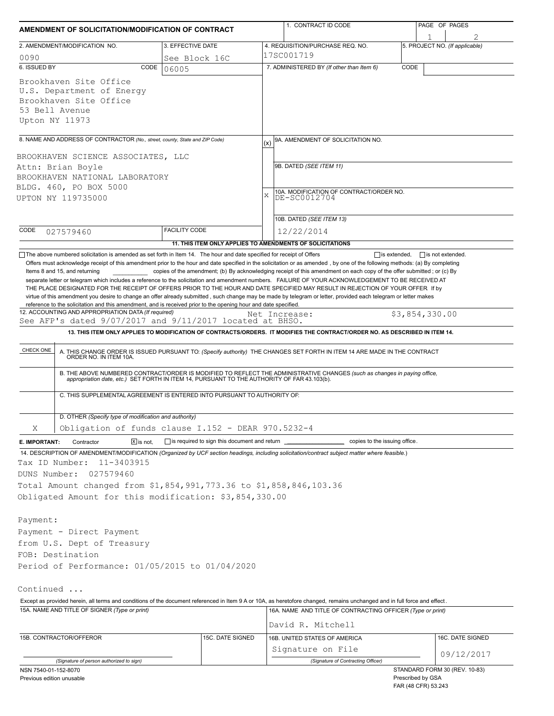| AMENDMENT OF SOLICITATION/MODIFICATION OF CONTRACT                                                                                                                        |                                                           | 1. CONTRACT ID CODE | PAGE OF PAGES                                                                                                                                                                                                                                                                                                                                                                                                                                                                                               |                                          |                                |
|---------------------------------------------------------------------------------------------------------------------------------------------------------------------------|-----------------------------------------------------------|---------------------|-------------------------------------------------------------------------------------------------------------------------------------------------------------------------------------------------------------------------------------------------------------------------------------------------------------------------------------------------------------------------------------------------------------------------------------------------------------------------------------------------------------|------------------------------------------|--------------------------------|
| 2. AMENDMENT/MODIFICATION NO.                                                                                                                                             | 3. EFFECTIVE DATE                                         |                     | 4. REQUISITION/PURCHASE REQ. NO.                                                                                                                                                                                                                                                                                                                                                                                                                                                                            |                                          | 5. PROJECT NO. (If applicable) |
| 0090                                                                                                                                                                      | See Block 16C                                             |                     | 17SC001719                                                                                                                                                                                                                                                                                                                                                                                                                                                                                                  |                                          |                                |
| 6. ISSUED BY<br>CODE                                                                                                                                                      | 06005                                                     |                     | 7. ADMINISTERED BY (If other than Item 6)                                                                                                                                                                                                                                                                                                                                                                                                                                                                   | CODE                                     |                                |
| Brookhaven Site Office<br>U.S. Department of Energy<br>Brookhaven Site Office<br>53 Bell Avenue<br>Upton NY 11973                                                         |                                                           |                     |                                                                                                                                                                                                                                                                                                                                                                                                                                                                                                             |                                          |                                |
| 8. NAME AND ADDRESS OF CONTRACTOR (No., street, county, State and ZIP Code)                                                                                               |                                                           | (x)                 | 9A. AMENDMENT OF SOLICITATION NO.                                                                                                                                                                                                                                                                                                                                                                                                                                                                           |                                          |                                |
|                                                                                                                                                                           |                                                           |                     |                                                                                                                                                                                                                                                                                                                                                                                                                                                                                                             |                                          |                                |
| BROOKHAVEN SCIENCE ASSOCIATES, LLC<br>Attn: Brian Boyle                                                                                                                   |                                                           |                     | 9B. DATED (SEE ITEM 11)                                                                                                                                                                                                                                                                                                                                                                                                                                                                                     |                                          |                                |
| BROOKHAVEN NATIONAL LABORATORY                                                                                                                                            |                                                           |                     |                                                                                                                                                                                                                                                                                                                                                                                                                                                                                                             |                                          |                                |
| BLDG. 460, PO BOX 5000                                                                                                                                                    |                                                           |                     |                                                                                                                                                                                                                                                                                                                                                                                                                                                                                                             |                                          |                                |
| UPTON NY 119735000                                                                                                                                                        |                                                           | $\mathbf{x}$        | 10A. MODIFICATION OF CONTRACT/ORDER NO.<br>DE-SC0012704                                                                                                                                                                                                                                                                                                                                                                                                                                                     |                                          |                                |
|                                                                                                                                                                           |                                                           |                     |                                                                                                                                                                                                                                                                                                                                                                                                                                                                                                             |                                          |                                |
|                                                                                                                                                                           |                                                           |                     | 10B. DATED (SEE ITEM 13)                                                                                                                                                                                                                                                                                                                                                                                                                                                                                    |                                          |                                |
| CODE<br>027579460                                                                                                                                                         | <b>FACILITY CODE</b>                                      |                     | 12/22/2014                                                                                                                                                                                                                                                                                                                                                                                                                                                                                                  |                                          |                                |
|                                                                                                                                                                           | 11. THIS ITEM ONLY APPLIES TO AMENDMENTS OF SOLICITATIONS |                     |                                                                                                                                                                                                                                                                                                                                                                                                                                                                                                             |                                          |                                |
| See AFP's dated 9/07/2017 and 9/11/2017 located at BHSO.<br>CHECK ONE                                                                                                     |                                                           |                     | 13. THIS ITEM ONLY APPLIES TO MODIFICATION OF CONTRACTS/ORDERS. IT MODIFIES THE CONTRACT/ORDER NO. AS DESCRIBED IN ITEM 14.<br>A. THIS CHANGE ORDER IS ISSUED PURSUANT TO: (Specify authority) THE CHANGES SET FORTH IN ITEM 14 ARE MADE IN THE CONTRACT ORDER NO. IN ITEM 10A.<br>B. THE ABOVE NUMBERED CONTRACT/ORDER IS MODIFIED TO REFLECT THE ADMINISTRATIVE CHANGES (such as changes in paying office,<br>appropriation date, etc.) SET FORTH IN ITEM 14, PURSUANT TO THE AUTHORITY OF FAR 43.103(b). |                                          |                                |
| C. THIS SUPPLEMENTAL AGREEMENT IS ENTERED INTO PURSUANT TO AUTHORITY OF:                                                                                                  |                                                           |                     |                                                                                                                                                                                                                                                                                                                                                                                                                                                                                                             |                                          |                                |
| D. OTHER (Specify type of modification and authority)                                                                                                                     |                                                           |                     |                                                                                                                                                                                                                                                                                                                                                                                                                                                                                                             |                                          |                                |
| Χ<br>Obligation of funds clause I.152 - DEAR 970.5232-4                                                                                                                   |                                                           |                     |                                                                                                                                                                                                                                                                                                                                                                                                                                                                                                             |                                          |                                |
| $ \overline{x} $ is not.<br>E. IMPORTANT:<br>Contractor                                                                                                                   | is required to sign this document and return              |                     | copies to the issuing office.                                                                                                                                                                                                                                                                                                                                                                                                                                                                               |                                          |                                |
| 14. DESCRIPTION OF AMENDMENT/MODIFICATION (Organized by UCF section headings, including solicitation/contract subject matter where feasible.)                             |                                                           |                     |                                                                                                                                                                                                                                                                                                                                                                                                                                                                                                             |                                          |                                |
| 11-3403915<br>Tax ID Number:                                                                                                                                              |                                                           |                     |                                                                                                                                                                                                                                                                                                                                                                                                                                                                                                             |                                          |                                |
| 027579460<br>DUNS Number:                                                                                                                                                 |                                                           |                     |                                                                                                                                                                                                                                                                                                                                                                                                                                                                                                             |                                          |                                |
| Total Amount changed from \$1,854,991,773.36 to \$1,858,846,103.36                                                                                                        |                                                           |                     |                                                                                                                                                                                                                                                                                                                                                                                                                                                                                                             |                                          |                                |
| Obligated Amount for this modification: \$3,854,330.00                                                                                                                    |                                                           |                     |                                                                                                                                                                                                                                                                                                                                                                                                                                                                                                             |                                          |                                |
|                                                                                                                                                                           |                                                           |                     |                                                                                                                                                                                                                                                                                                                                                                                                                                                                                                             |                                          |                                |
| Payment:                                                                                                                                                                  |                                                           |                     |                                                                                                                                                                                                                                                                                                                                                                                                                                                                                                             |                                          |                                |
| Payment - Direct Payment<br>from U.S. Dept of Treasury                                                                                                                    |                                                           |                     |                                                                                                                                                                                                                                                                                                                                                                                                                                                                                                             |                                          |                                |
| FOB: Destination                                                                                                                                                          |                                                           |                     |                                                                                                                                                                                                                                                                                                                                                                                                                                                                                                             |                                          |                                |
| Period of Performance: 01/05/2015 to 01/04/2020                                                                                                                           |                                                           |                     |                                                                                                                                                                                                                                                                                                                                                                                                                                                                                                             |                                          |                                |
|                                                                                                                                                                           |                                                           |                     |                                                                                                                                                                                                                                                                                                                                                                                                                                                                                                             |                                          |                                |
| Continued                                                                                                                                                                 |                                                           |                     |                                                                                                                                                                                                                                                                                                                                                                                                                                                                                                             |                                          |                                |
| Except as provided herein, all terms and conditions of the document referenced in Item 9 A or 10A, as heretofore changed, remains unchanged and in full force and effect. |                                                           |                     |                                                                                                                                                                                                                                                                                                                                                                                                                                                                                                             |                                          |                                |
| 15A. NAME AND TITLE OF SIGNER (Type or print)                                                                                                                             |                                                           |                     | 16A. NAME AND TITLE OF CONTRACTING OFFICER (Type or print)                                                                                                                                                                                                                                                                                                                                                                                                                                                  |                                          |                                |
|                                                                                                                                                                           |                                                           |                     | David R. Mitchell                                                                                                                                                                                                                                                                                                                                                                                                                                                                                           |                                          |                                |
| 15B. CONTRACTOR/OFFEROR                                                                                                                                                   | 15C. DATE SIGNED                                          |                     | 16B. UNITED STATES OF AMERICA                                                                                                                                                                                                                                                                                                                                                                                                                                                                               |                                          | 16C. DATE SIGNED               |
|                                                                                                                                                                           |                                                           |                     | Signature on File                                                                                                                                                                                                                                                                                                                                                                                                                                                                                           |                                          |                                |
| (Signature of person authorized to sign)                                                                                                                                  |                                                           |                     | (Signature of Contracting Officer)                                                                                                                                                                                                                                                                                                                                                                                                                                                                          |                                          | 09/12/2017                     |
| NSN 7540-01-152-8070                                                                                                                                                      |                                                           |                     |                                                                                                                                                                                                                                                                                                                                                                                                                                                                                                             |                                          | STANDARD FORM 30 (REV. 10-83)  |
| Previous edition unusable                                                                                                                                                 |                                                           |                     |                                                                                                                                                                                                                                                                                                                                                                                                                                                                                                             | Prescribed by GSA<br>FAR (48 CFR) 53.243 |                                |